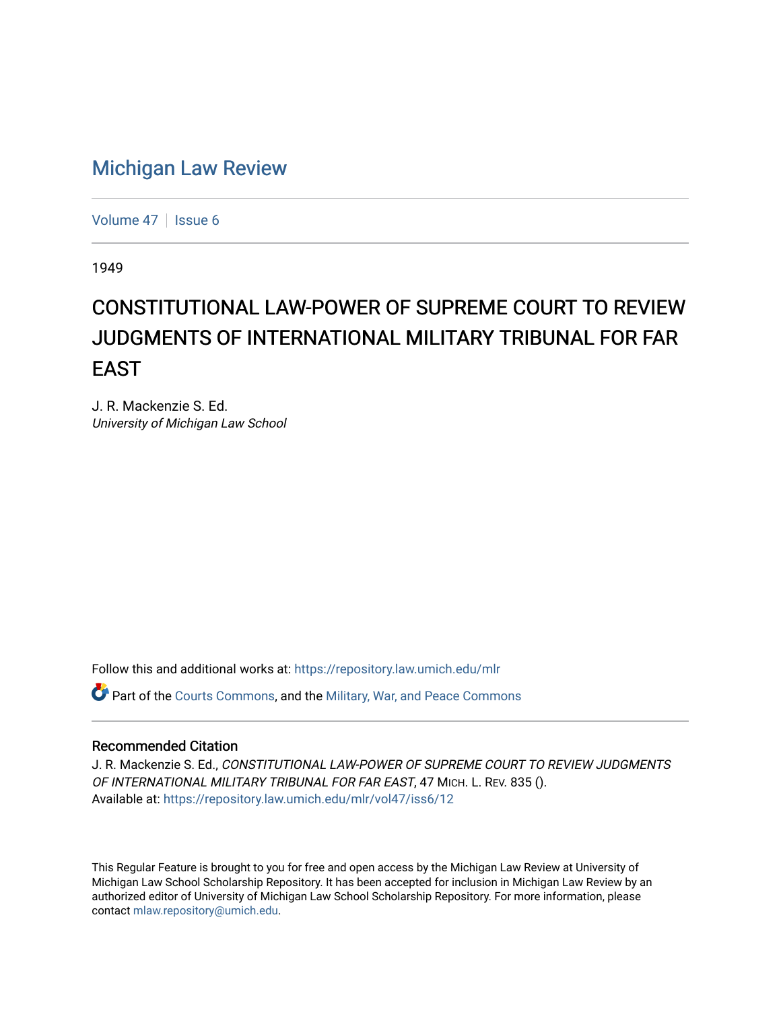## [Michigan Law Review](https://repository.law.umich.edu/mlr)

[Volume 47](https://repository.law.umich.edu/mlr/vol47) | [Issue 6](https://repository.law.umich.edu/mlr/vol47/iss6)

1949

## CONSTITUTIONAL LAW-POWER OF SUPREME COURT TO REVIEW JUDGMENTS OF INTERNATIONAL MILITARY TRIBUNAL FOR FAR EAST

J. R. Mackenzie S. Ed. University of Michigan Law School

Follow this and additional works at: [https://repository.law.umich.edu/mlr](https://repository.law.umich.edu/mlr?utm_source=repository.law.umich.edu%2Fmlr%2Fvol47%2Fiss6%2F12&utm_medium=PDF&utm_campaign=PDFCoverPages) 

Part of the [Courts Commons,](http://network.bepress.com/hgg/discipline/839?utm_source=repository.law.umich.edu%2Fmlr%2Fvol47%2Fiss6%2F12&utm_medium=PDF&utm_campaign=PDFCoverPages) and the [Military, War, and Peace Commons](http://network.bepress.com/hgg/discipline/861?utm_source=repository.law.umich.edu%2Fmlr%2Fvol47%2Fiss6%2F12&utm_medium=PDF&utm_campaign=PDFCoverPages) 

## Recommended Citation

J. R. Mackenzie S. Ed., CONSTITUTIONAL LAW-POWER OF SUPREME COURT TO REVIEW JUDGMENTS OF INTERNATIONAL MILITARY TRIBUNAL FOR FAR EAST, 47 MICH. L. REV. 835 (). Available at: [https://repository.law.umich.edu/mlr/vol47/iss6/12](https://repository.law.umich.edu/mlr/vol47/iss6/12?utm_source=repository.law.umich.edu%2Fmlr%2Fvol47%2Fiss6%2F12&utm_medium=PDF&utm_campaign=PDFCoverPages) 

This Regular Feature is brought to you for free and open access by the Michigan Law Review at University of Michigan Law School Scholarship Repository. It has been accepted for inclusion in Michigan Law Review by an authorized editor of University of Michigan Law School Scholarship Repository. For more information, please contact [mlaw.repository@umich.edu](mailto:mlaw.repository@umich.edu).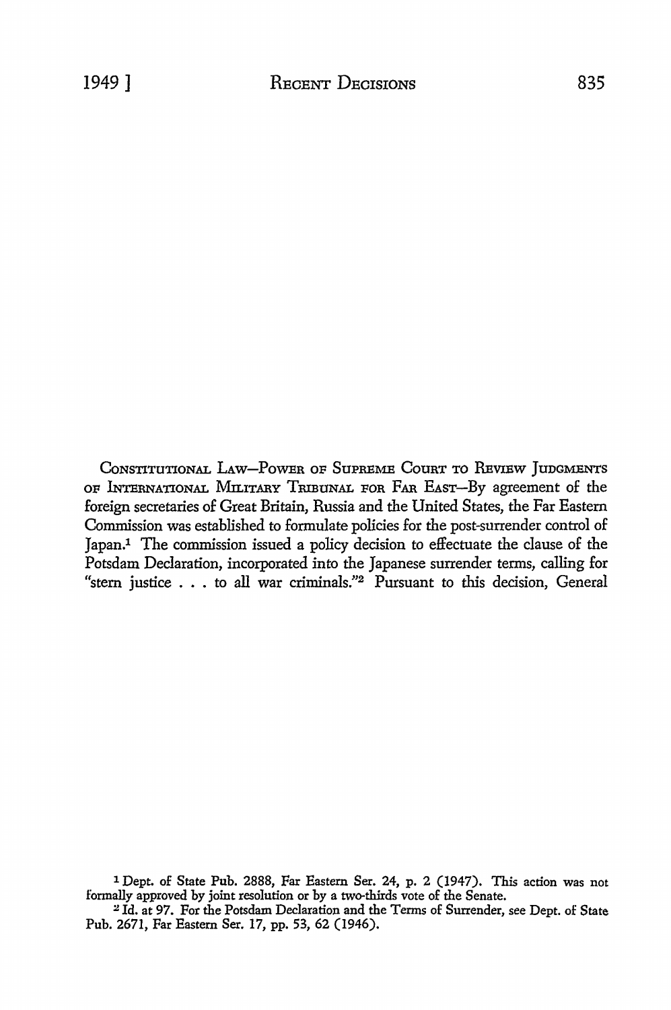CONSTITUTIONAL LAW-POWER OF SUPREME COURT TO REVIEW JUDGMENTS OF INTERNATIONAL MILITARY TRIBUNAL FOR FAR EAST-By agreement of the foreign secretaries of Great Britain, Russia and the United States, the Far Eastern Commission was established to formulate policies for the post-surrender control of Japan.1 The commission issued a policy decision to effectuate the clause of the Potsdam Declaration, incorporated into the Japanese surrender terms, calling for "stern justice  $\dots$  to all war criminals."<sup>2</sup> Pursuant to this decision, General

1 Dept. of State Pub. 2888, Far Eastern Ser. 24, p. 2 (1947). This action was not formally approved by joint resolution or by a two-thirds vote of the Senate.

<sup>2</sup>Id. at 97. For the Potsdam Declaration and the Terms of Sunender, see Dept. of State Pub. 2671, Far Eastern Ser. 17, pp. 53, 62 (1946).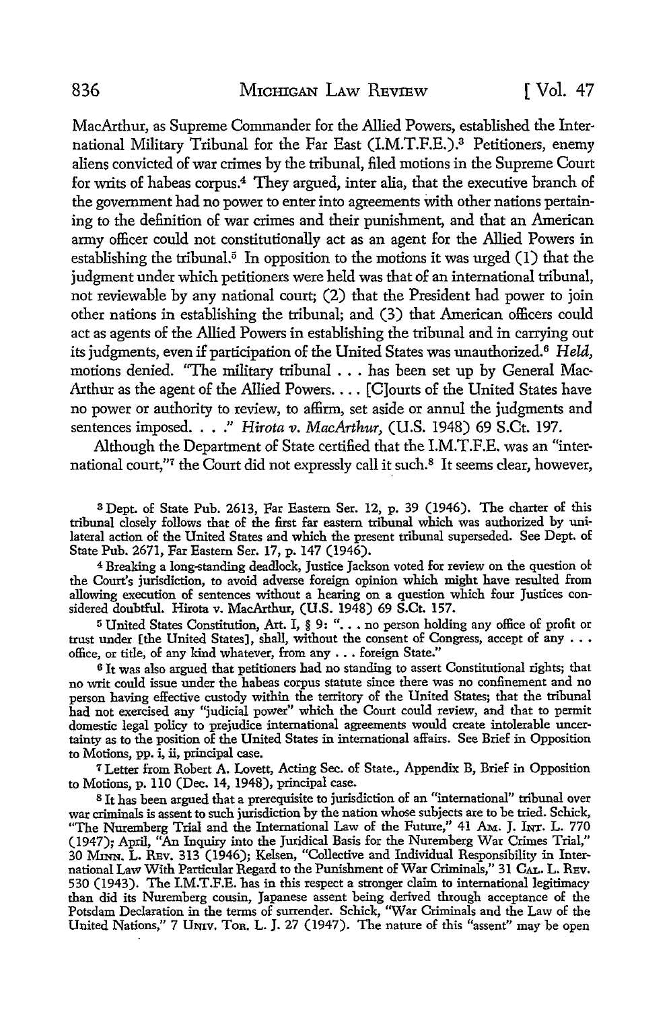MacArthur, as Supreme Commander for the Allied Powers, established the International Military Tribunal for the Far East (l.M.T.F.E.).3 Petitioners, enemy aliens convicted of war crimes by the tribunal, filed motions in the Supreme Court for writs of habeas corpus.4 They argued, inter alia, that the executive branch of the government had no power to enter into agreements with other nations pertaining to the definition of war crimes and their punishment, and that an American army officer could not constitutionally act as an agent for the Allied Powers in establishing the tribunal.<sup>5</sup> In opposition to the motions it was urged  $(1)$  that the judgment under which petitioners were held was that of an international tribunal, not reviewable by any national court; (2) that the President had power to join other nations in establishing the tribunal; and (3) that American officers could act as agents of the Allied Powers in establishing the tribunal and in carrying out its judgments, even if participation of the United States was unauthorized. 6 *Held,*  motions denied. "The military tribunal . . . has been set up by General Mac-Arthur as the agent of the Allied Powers. . . . [C]ourts of the United States have no power or authority to review, to affirm, set aside or annul the judgments and sentences imposed .... " *Hirota v. MacArthur,* (U.S. 1948) 69 S.Ct. 197.

Although the Department of State certified that the I.M.T.F.E. was an "international court,"<sup>7</sup> the Court did not expressly call it such.<sup>8</sup> It seems clear, however,

<sup>3</sup>Dept. of State Pub. 2613, Far Eastern Ser. 12, p. 39 (1946). The charter of this tribunal closely follows that of the first far eastern tribunal which was authorized by unilateral action of the United States and which the present tribunal superseded. See Dept. of State Pub. 2671, Far Eastern Ser. 17, p. 147 (1946).

<sup>4</sup>Breaking a long-standing deadlock, Justice Jackson voted for review on the question ol the Court's jurisdiction, to avoid adverse foreign opinion which might have resulted from allowing execution of sentences without a hearing on a question which four Justices considered doubtful. Hirota v. MacArthur, (U.S. 1948) 69 S.Ct. 157.

<sup>5</sup> United States Constitution, Art. I, § 9: ". . . no person holding any office of profit or trust under [the United States], shall, without the consent of Congress, accept of any ..• office, or title, of any kind whatever, from any ... foreign State."

<sup>6</sup>It was also argued that petitioners had no standing to assert Constitutional rights; that no writ could issue under the habeas corpus statute since there was no confinement and no person having effective custody within the territory of the United States; that the tribunal had not exercised any "judicial power" which the Court could review, and that to permit domestic legal policy to prejudice international agreements would create intolerable uncertainty as to the position of the United States in international affairs. See Brief in Opposition to Motions, pp. i, ii, principal case.

7 Letter from Robert A. Lovett, Acting Sec. of State., Appendix B, Brief in Opposition to Motions, p. llO (Dec. 14, 1948), principal case.

<sup>8</sup>Jt has been argued that a prerequisite to jurisdiction of an "international" tribunal over war criminals is assent to such jurisdiction by the nation whose subjects are to be tried. Schick, "The Nuremberg Trial and the International Law of the Future," 41 Am. J. Inr. L. 770 (1947); April, "An Inquiry into the Juridical Basis for the Nuremberg War Crimes Trial," 30 MINN. L. RBv. 313 (1946); Kelsen, "Collective and Individual Responsibility in International Law With Particular Regard to the Punishment of War Criminals," 31 CAL. L. REv. 530 (1943). The I.M.T.F.E. has in this respect a stronger claim to international legitimacy than did its Nuremberg cousin, Japanese assent being derived through acceptance of the Potsdam Declaration in the terms of surrender. Schick, "War Criminals and the Law of the United Nations," 7 Umv. Ton. L. J. 27 (1947). The nature of this "assent" may be open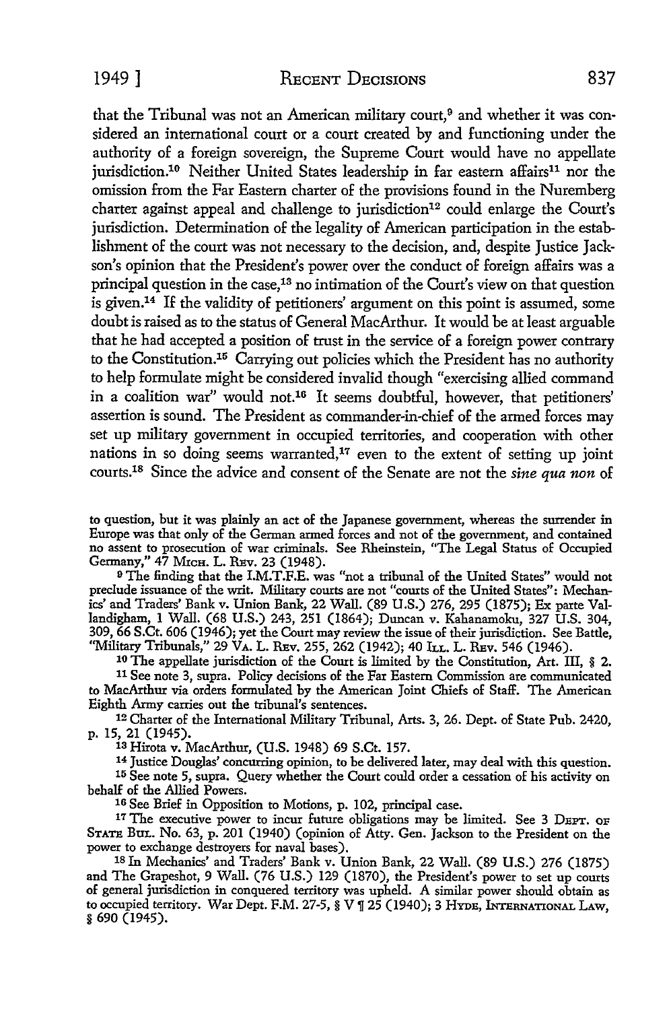1949] RECENT DECISIONS 837

that the Tribunal was not an American military court,<sup>9</sup> and whether it was considered an international court or a court created by and functioning under the authority of a foreign sovereign, the Supreme Court would have no appellate jurisdiction.<sup>10</sup> Neither United States leadership in far eastern affairs<sup>11</sup> nor the omission from the Far Eastern charter of the provisions found in the Nuremberg charter against appeal and challenge to jurisdiction<sup>12</sup> could enlarge the Court's jurisdiction. Determination of the legality of American participation in the establishment of the court was not necessary to the decision, and, despite Justice Jackson's opinion that the President's power over the conduct of foreign affairs was a principal question in the case,13 no intimation of the Court's view on that question is given.14 If the validity of petitioners' argument on this point is assumed, some doubt is raised as to the status of General MacArthur. It would be at least arguable that he had accepted a position of trust in the service of a foreign power contrary to the Constitution.15 Carrying out policies which the President has no authority to help formulate might be considered invalid though "exercising allied command in a coalition war" would not.16 It seems doubtful, however, that petitioners' assertion is sound. The President as commander-in-chief of the armed forces may set up military government in occupied territories, and cooperation with other nations in so doing seems warranted,<sup>17</sup> even to the extent of setting up joint courts.18 Since the advice and consent of the Senate are not the *sine qua non* of

to question, but it was plainly an act of the Japanese government, whereas the surrender in Europe was that only of the German armed forces and not of the government, and contained no assent to prosecution of war criminals. See Rheinstein, "The Legal Status of Occupied Germany," 47 MICH. L. REv. 23 (1948).

<sup>9</sup>The finding that the I.M.T.F.E. was "not a tribunal of the United States" would not preclude issuance of the writ. Military courts are not "courts of the United States": Mechanics' and Traders' Bank v. Union Bank, 22 Wall. (89 U.S.) 276, 295 (1875); Ex parte Vallandigham, 1 Wall. (68 U.S.) 243, 251 (1864); Duncan v. Kahanamoku, 327 U.S. 304, 309, 66 S.Ct. 606 (1946); yet the Court may review the issue of their jurisdiction. See Battle, "Military Tribunals," 29 VA. L. REv. 255, 262 (1942); 40 lr.L. L. REv. 546 (1946).

10 The appellate jurisdiction of the Court is limited by the Constitution, Art. III, § 2. 11 See note 3, supra. Policy decisions of the Far Eastern Commission are communicated to MacArthur via orders formulated by the American Joint Chiefs of Staff. The American Eighth Army carries out the tribunal's sentences.

12 Charter of the International Military Tribunal, Arts. 3, 26. Dept. of State Pub. 2420, p. 15, 21 (1945).

1a Hirota v. MacArthur, (U.S. 1948) 69 S.Ct. 157.

14 Justice Douglas' concurring opinion, to be delivered later, may deal with this question. 15 See note 5, supra. Query whether the Court could order a cessation of his activity on behalf of the Allied Powers.

16 See Brief in Opposition to Motions, p. 102, principal case.

<sup>17</sup> The executive power to incur future obligations may be limited. See 3 DEPT. OF STATE BuL. No. 63, p. 201 (1940) (opinion of Atty. Gen. Jackson to the President on the power to exchange destroyers for naval bases).

18 In Mechanics' and Traders' Bank v. Union Bank, 22 Wall. (89 U.S.) 276 (1875) and The Grapeshot, 9 Wall. (76 U.S.) 129 (1870), the President's power to set up courts of general jurisdiction in conquered territory was upheld. A sinillar power should obtain as to occupied territory. War Dept. F.M. 27-5,  $\S$  V  $\P$  25 (1940); 3 HYDE, INTERNATIONAL LAW, § 690 (1945).